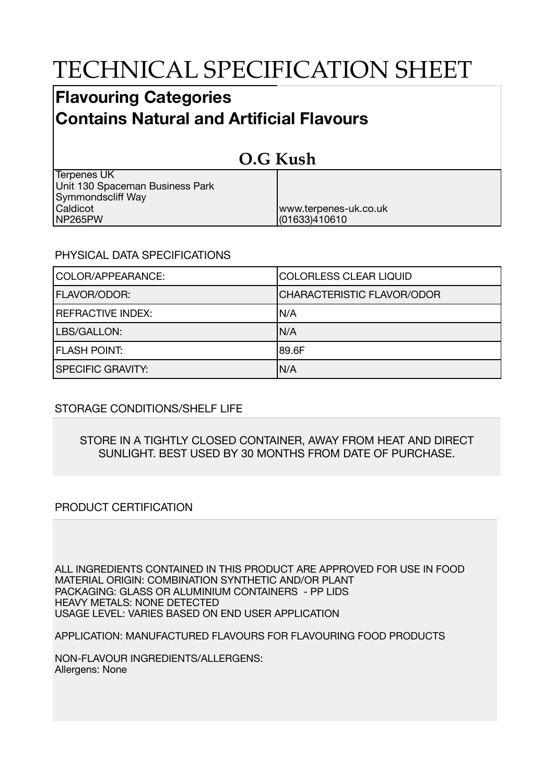# TECHNICAL SPECIFICATION SHEET

## **Flavouring Categories Contains Natural and Artificial Flavours**

| O.G Kush                        |                       |  |
|---------------------------------|-----------------------|--|
| <b>Terpenes UK</b>              |                       |  |
| Unit 130 Spaceman Business Park |                       |  |
| Symmondscliff Way               |                       |  |
| Caldicot                        | www.terpenes-uk.co.uk |  |
| NP265PW                         | (01633)410610         |  |

### PHYSICAL DATA SPECIFICATIONS

| COLOR/APPEARANCE:        | COLORLESS CLEAR LIQUID     |
|--------------------------|----------------------------|
| <b>FLAVOR/ODOR:</b>      | CHARACTERISTIC FLAVOR/ODOR |
| <b>REFRACTIVE INDEX:</b> | IN/A                       |
| LBS/GALLON:              | IN/A                       |
| <b>FLASH POINT:</b>      | 189.6F                     |
| <b>SPECIFIC GRAVITY:</b> | N/A                        |

### STORAGE CONDITIONS/SHELF LIFE

#### STORE IN A TIGHTLY CLOSED CONTAINER, AWAY FROM HEAT AND DIRECT SUNLIGHT. BEST USED BY 30 MONTHS FROM DATE OF PURCHASE.

### PRODUCT CERTIFICATION

ALL INGREDIENTS CONTAINED IN THIS PRODUCT ARE APPROVED FOR USE IN FOOD MATERIAL ORIGIN: COMBINATION SYNTHETIC AND/OR PLANT PACKAGING: GLASS OR ALUMINIUM CONTAINERS - PP LIDS HEAVY METALS: NONE DETECTED USAGE LEVEL: VARIES BASED ON END USER APPLICATION

APPLICATION: MANUFACTURED FLAVOURS FOR FLAVOURING FOOD PRODUCTS

NON-FLAVOUR INGREDIENTS/ALLERGENS: Allergens: None